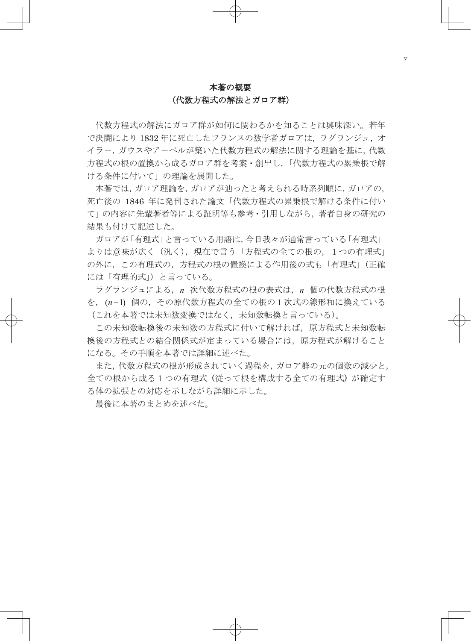# 本著の概要 (代数方程式の解法とガロア群)

代数方程式の解法にガロア群が如何に関わるかを知ることは興味深い。若年 で決闘により1832年に死亡したフランスの数学者ガロアは、ラグランジュ、オ イラ-,ガウスやア-ベルが築いた代数方程式の解法に関する理論を基に,代数 方程式の根の置換から成るガロア群を考案・創出し,「代数方程式の累乗根で解 ける条件に付いて」の理論を展開した。

本著では,ガロア理論を,ガロアが辿ったと考えられる時系列順に,ガロアの, 死亡後の 1846 年に発刊された論文「代数方程式の累乗根で解ける条件に付い て」の内容に先輩著者等による証明等も参考・引用しながら,著者自身の研究の 結果も付けて記述した。

ガロアが「有理式」と言っている用語は,今日我々が通常言っている「有理式」 よりは意味が広く(汎く),現在で言う「方程式の全ての根の,1つの有理式」 の外に,この有理式の,方程式の根の置換による作用後の式も「有理式」(正確 には「有理的式」)と言っている。

ラグランジュによる,*n* 次代数方程式の根の表式は,*n* 個の代数方程式の根 を,(*n* 1) 個の,その原代数方程式の全ての根の1次式の線形和に換えている (これを本著では未知数変換ではなく,未知数転換と言っている)。

この未知数転換後の未知数の方程式に付いて解ければ,原方程式と未知数転 換後の方程式との結合関係式が定まっている場合には,原方程式が解けること になる。その手順を本著では詳細に述べた。

また,代数方程式の根が形成されていく過程を,ガロア群の元の個数の減少と, 全ての根から成る1つの有理式 (従って根を構成する全ての有理式) が確定す る体の拡張との対応を示しながら詳細に示した。

最後に本著のまとめを述べた。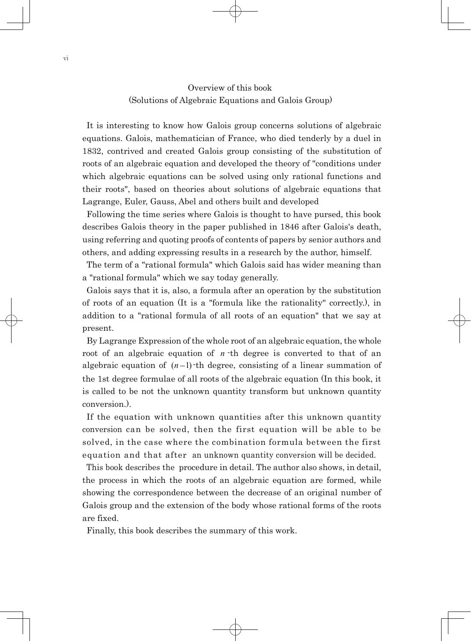# Overview of this book (Solutions of Algebraic Equations and Galois Group)

It is interesting to know how Galois group concerns solutions of algebraic equations. Galois, mathematician of France, who died tenderly by a duel in 1832, contrived and created Galois group consisting of the substitution of roots of an algebraic equation and developed the theory of "conditions under which algebraic equations can be solved using only rational functions and their roots", based on theories about solutions of algebraic equations that Lagrange, Euler, Gauss, Abel and others built and developed

Following the time series where Galois is thought to have pursed, this book describes Galois theory in the paper published in 1846 after Galois's death, using referring and quoting proofs of contents of papers by senior authors and others, and adding expressing results in a research by the author, himself.

The term of a "rational formula" which Galois said has wider meaning than a "rational formula" which we say today generally.

Galois says that it is, also, a formula after an operation by the substitution of roots of an equation (It is a "formula like the rationality" correctly.), in addition to a "rational formula of all roots of an equation" that we say at present.

By Lagrange Expression of the whole root of an algebraic equation, the whole root of an algebraic equation of *n* -th degree is converted to that of an algebraic equation of  $(n-1)$ -th degree, consisting of a linear summation of the 1st degree formulae of all roots of the algebraic equation (In this book, it is called to be not the unknown quantity transform but unknown quantity conversion.).

If the equation with unknown quantities after this unknown quantity conversion can be solved, then the first equation will be able to be solved, in the case where the combination formula between the first equation and that after an unknown quantity conversion will be decided.

This book describes the procedure in detail. The author also shows, in detail, the process in which the roots of an algebraic equation are formed, while showing the correspondence between the decrease of an original number of Galois group and the extension of the body whose rational forms of the roots are fixed.

Finally, this book describes the summary of this work.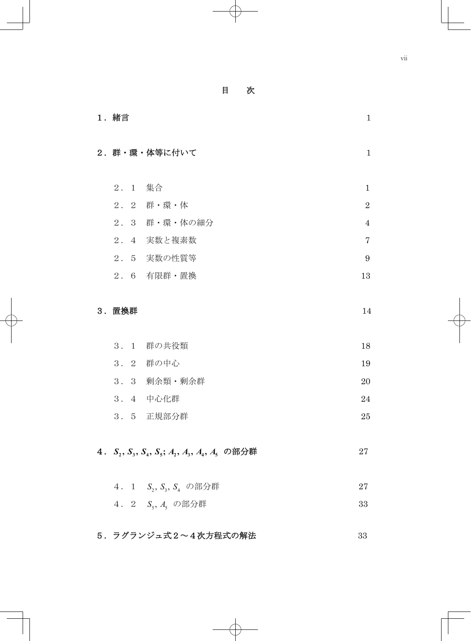目 次

| 1. 緒言<br>$\mathbf{1}$                                                                                                                         |                |  |  |
|-----------------------------------------------------------------------------------------------------------------------------------------------|----------------|--|--|
| 2. 群・環・体等に付いて                                                                                                                                 | $\mathbf{1}$   |  |  |
| 2. 1 集合                                                                                                                                       | $\mathbf{1}$   |  |  |
| 2. 2 群·環·体                                                                                                                                    | $\overline{2}$ |  |  |
| 2. 3 群・環・体の細分                                                                                                                                 | $\overline{4}$ |  |  |
| 2. 4 実数と複素数                                                                                                                                   | $\overline{7}$ |  |  |
| 2. 5 実数の性質等                                                                                                                                   | 9              |  |  |
| 2. 6 有限群·置換                                                                                                                                   | 13             |  |  |
| 3. 置換群                                                                                                                                        | 14             |  |  |
| 3. 1 群の共役類                                                                                                                                    | 18             |  |  |
| 3. 2 群の中心                                                                                                                                     | 19             |  |  |
| 3. 3 剰余類・剰余群                                                                                                                                  | 20             |  |  |
| 3. 4 中心化群                                                                                                                                     | 24             |  |  |
| 3. 5 正規部分群                                                                                                                                    | 25             |  |  |
| 4. S <sub>2</sub> , S <sub>3</sub> , S <sub>4</sub> , S <sub>5</sub> ; A <sub>2</sub> , A <sub>3</sub> , A <sub>4</sub> , A <sub>5</sub> の部分群 | 27             |  |  |
| 4. 1 $S_2$ , $S_3$ , $S_4$ の部分群                                                                                                               | 27             |  |  |
| 4. 2 S <sub>5</sub> , A <sub>5</sub> の部分群                                                                                                     | 33             |  |  |
| 5. ラグランジュ式2~4次方程式の解法                                                                                                                          | 33             |  |  |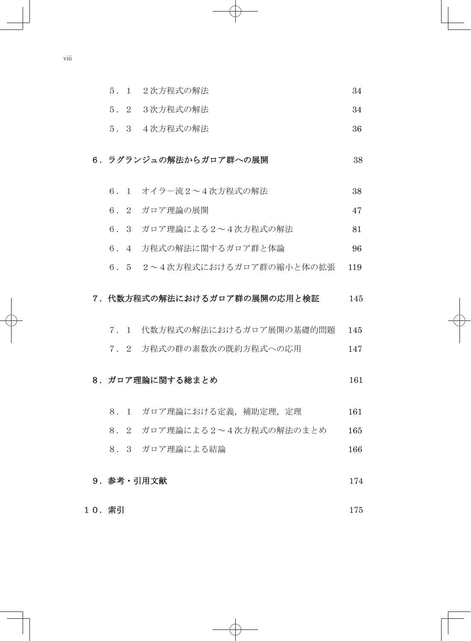| 5. 1 2次方程式の解法 |  |
|---------------|--|
|---------------|--|

- 5.2 3次方程式の解法 34
- 5.3 4次方程式の解法 36

## 6. ラグランジュの解法からガロア群への展開 28

- 6.1 オイラ-流2~4次方程式の解法 38
- 6.2 ガロア理論の展開 47
- $6.3$  ガロア理論による2~4次方程式の解法  $81$
- 6. 4 方程式の解法に関するガロア群と体論 96
- 6.5 2~4次方程式におけるガロア群の縮小と体の拡張 119

#### 7.代数方程式の解法におけるガロア群の展開の応用と検証 145

- 7.1 代数方程式の解法におけるガロア展開の基礎的問題 145
- 7.2 方程式の群の素数次の既約方程式への応用 147

## 8. ガロア理論に関する総まとめ 26. カロアン 2010

- 8.1 ガロア理論における定義,補助定理,定理 161
- 8.2 ガロア理論による2~4次方程式の解法のまとめ 165
- 8. 3 ガロア理論による結論 166

# 9. 参考 · 引用文献 174

10. 索引 175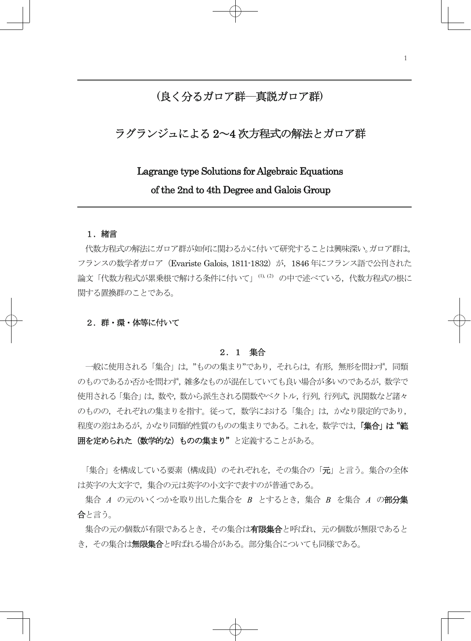# (良く分るガロア群―真説ガロア群)

# ラグランジュによる 2~4 次方程式の解法とガロア群

# Lagrange type Solutions for Algebraic Equations of the 2nd to 4th Degree and Galois Group

#### 1. 緒言

 $\overline{a}$ 

代数方程式の解法にガロア群が如何に関わるかに付いて研究することは興味深い。ガロア群は, フランスの数学者ガロア(Evariste Galois, 1811-1832)が,1846 年にフランス語で公刊された 論文「代数方程式が累乗根で解ける条件に付いて」(1), (2) の中で述べている, 代数方程式の根に 関する置換群のことである。

#### 2. 群・環・体等に付いて

#### 2.1 集合

 一般に使用される「集合」は,"ものの集まり"であり,それらは,有形,無形を問わず,同類 のものであるか否かを問わず,雑多なものが混在していても良い場合が多いのであるが,数学で 使用される「集合」は,数や,数から派生される関数やベクトル,行列,行列式,汎関数など諸々 のものの,それぞれの集まりを指す。従って,数学における「集合」は,かなり限定的であり, 程度の差はあるが、かなり同類的性質のものの集まりである。これを、数学では、「集合」は"範 田を定められた(数学的な)ものの集まり"と定義することがある。

「集合」を構成している要素(構成員)のそれぞれを、その集合の「元」と言う。集合の全体 は英字の大文字で、集合の元は英字の小文字で表すのが普通である。

集合 *A* の元のいくつかを取り出した集合を *B* とするとき,集合 *B* を集合 *A* の部分集 合と言う。

集合の元の個数が有限であるとき,その集合は**有限集合**と呼ばれ,元の個数が無限であると き、その集合は無限集合と呼ばれる場合がある。部分集合についても同様である。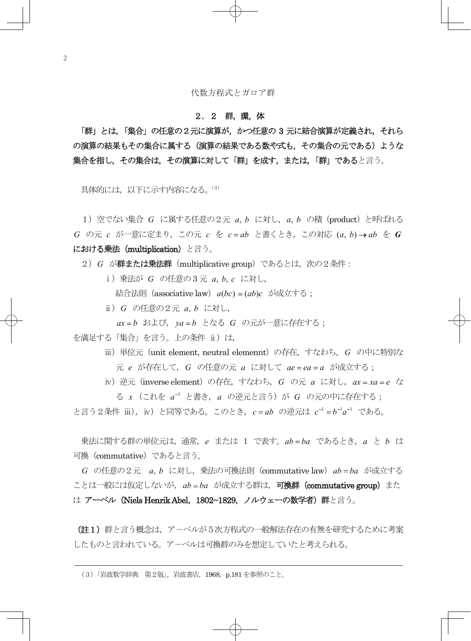## 2.2 群,環,体

「群」とは,「集合」の任意の2元に演算が,かつ任意の 3 元に結合演算が定義され,それら の演算の結果もその集合に属する(演算の結果である数や式も、その集合の元である)ような 集合を指し,その集合は,その演算に対して「群」を成す,または,「群」であると言う。

具体的には、以下に示す内容になる。(3)

1)空でない集合 *G* に属する任意の2元 *a*, *b* に対し,*a*, *b* の積(product)と呼ばれる *G* の元 *c* が一意に定まり,この元 *c* を *c ab* と書くとき,この対応 (*a*, *b*) *ab* を *G* における乗法(multiplication)と言う。

2)*G* が群または乗法群(multiplicative group)であるとは,次の2条件:

ⅰ)乗法が *G* の任意の3 元 *a*, *b*, *c* に対し,

結合法則(associative law)*a*(*bc*) (*ab*)*c* が成立する;

ⅱ)*G* の任意の2元 *a*, *b* に対し,

*ax b* および,*ya b* となる *G* の元が一意に存在する;

を満足する「集合」を言う。上の条件 ii) は,

- iii) 単位元 (unit element, neutral elemennt) の存在, すなわち, G の中に特別な 元 *e* が存在して,*G* の任意の元 *a* に対して *ae ea a* が成立する;
- iv) 逆元(inverse element) の存在, すなわち, G の元 a に対し, ax = xa = e な る *x* (これを <sup>1</sup> *a* と書き,*a* の逆元と言う)が *G* の元の中に存在する;

と言う2条件 ⅲ), ⅳ) と同等である。このとき, *c* = ab の逆元は c<sup>-1</sup> = b<sup>-1</sup>a<sup>-1</sup> である。

乗法に関する群の単位元は,通常,*e* または 1 で表す。*ab ba* であるとき,*a* と *b* は 可換(commutative)であると言う。

*G* の任意の2元 *a*, *b* に対し,乗法の可換法則(commutative law)*ab ba* が成立する ことは一般には仮定しないが、ab = ba が成立する群は,可換群 (commutative group)また は アーベル (Niels Henrik Abel, 1802~1829, ノルウェーの数学者)群と言う。

(註1) 群と言う概念は、アーベルが5次方程式の一般解法存在の有無を研究するために考案 したものと言われている。ア-ベルは可換群のみを想定していたと考えられる。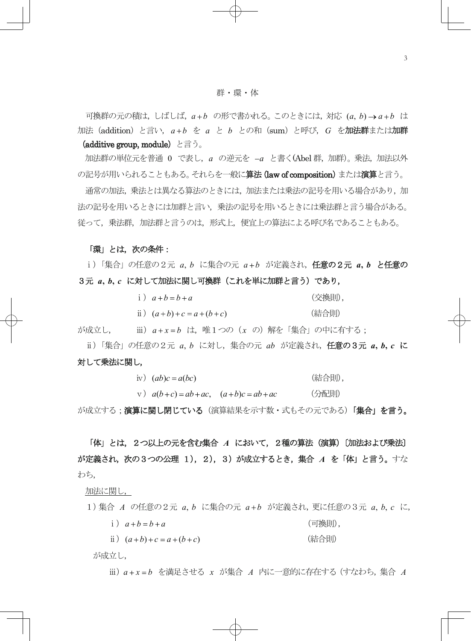可換群の元の積は,しばしば,*a b* の形で書かれる。このときには,対応 (*a*, *b*) *a b* は 加法(addition)と言い,*a b* を *a* と *b* との和(sum)と呼び,*G* を加法群または加群

### (additive group, module) と言う。

加法群の単位元を普通 0 で表し,*a* の逆元を *a* と書く(Abel 群,加群)。乗法,加法以外 の記号が用いられることもある。それらを一般に**算法 (law of composition)** または**演算**と言う。

通常の加法,乗法とは異なる算法のときには、加法または乗法の記号を用いる場合があり,加 法の記号を用いるときには加群と言い,乗法の記号を用いるときには乗法群と言う場合がある。 従って,乗法群,加法群と言うのは,形式上,便宜上の算法による呼び名であることもある。

#### 「環」とは,次の条件:

ⅰ)「集合」の任意の2元 *a*, *b* に集合の元 *a b* が定義され,任意の2元 *a***,** *b* と任意の 3元 *a***,** *b***,** *c* に対して加法に関し可換群(これを単に加群と言う)であり,

| i) $a+b=b+a$            | (交換則), |
|-------------------------|--------|
| ii) $(a+b)+c = a+(b+c)$ | (結合則)  |

が成立し, ⅲ)*a x b* は,唯1つの(*x* の)解を「集合」の中に有する;

ⅱ)「集合」の任意の2元 *a*, *b* に対し,集合の元 *ab* が定義され,任意の3元 *a***,** *b***,** *c* に 対して乗法に関し,

iv)  $(ab)c = a(bc)$  (結合則),

 $\alpha$ (*b*+*c*) = *ab* + *ac*, (*a* + *b*)*c* = *ab* + *ac* (分配則)

が成立する;演**算に関し閉じている**(演算結果を示す数・式もその元である)「**集合」を言う。** 

 「体」とは,2つ以上の元を含む集合 *A* において,2種の算法(演算)〔加法および乗法〕 が定義され,次の3つの公理 1),2),3)が成立するとき,集合 *A* を「体」と言う。すな わち,

#### 加法に関し,

1)集合 *A* の任意の2元 *a*, *b* に集合の元 *a b* が定義され,更に任意の3元 *a*, *b*, *c* に,

 $i)$   $a+b=b+a$  (可換則),

 $ii)$   $(a+b)+c = a+(b+c)$  (結合則)

が成立し,

ⅲ)*a x b* を満足させる *x* が集合 *A* 内に一意的に存在する(すなわち,集合 *A*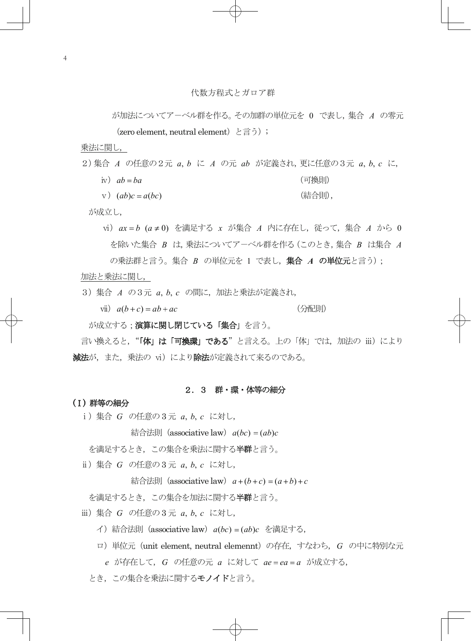が加法についてア-ベル群を作る。その加群の単位元を 0 で表し,集合 *A* の零元 (zero element, neutral element) と言う);

乗法に関し,

- 2)集合 *A* の任意の2元 *a*, *b* に *A* の元 *ab* が定義され,更に任意の3元 *a*, *b*, *c* に,
	- iv)  $ab = ba$  (可換則)
	- v  $(a\ b)c = a(bc)$  (結合則),

が成立し,

vi)  $ax = b$  ( $a ≠ 0$ ) を満足する *x* が集合 *A* 内に存在し, 従って, 集合 *A* から 0 を除いた集合 *B* は,乗法についてア-ベル群を作る(このとき,集合 *B* は集合 *A* の乗法群と言う。集合 *B* の単位元を 1 で表し, 集合 *A* の単位元と言う);

#### 加法と乗法に関し,

3)集合 *A* の3元 *a*, *b*, *c* の間に,加法と乗法が定義され,

 $v$ **i**)  $a(b+c) = ab + ac$  (分配則)

が成立する;演算に関し閉じている「集合」を言う。

言い換えると, "「体」は「可換環」である"と言える。上の「体」では、加法の iii) により 減法が,また,乗法の vi)により除法が定義されて来るのである。

#### 2.3 群・環・体等の細分

#### (Ⅰ) 群等の細分

ⅰ)集合 *G* の任意の3 元 *a*, *b*, *c* に対し,

 $\hat{\mathcal{A}}$   $\hat{\mathcal{A}}$   $\hat{\mathcal{B}}$   $\hat{\mathcal{B}}$  (associative law)  $a(bc) = (ab)c$ 

- を満足するとき,この集合を乗法に関する**半群**と言う。
- ⅱ)集合 *G* の任意の3 元 *a*, *b*, *c* に対し,

 $k \in \mathbb{R}$  (associative law)  $a + (b + c) = (a + b) + c$ 

を満足するとき,この集合を加法に関する半群と言う。

ⅲ)集合 *G* の任意の3 元 *a*, *b*, *c* に対し,

イ)結合法則(associative law)*a*(*bc*) (*ab*)*c* を満足する,

- ロ)単位元(unit element, neutral elemennt)の存在,すなわち,*G* の中に特別な元
- *e* が存在して,*G* の任意の元 *a* に対して *ae ea a* が成立する,
- とき、この集合を乗法に関するモノイドと言う。